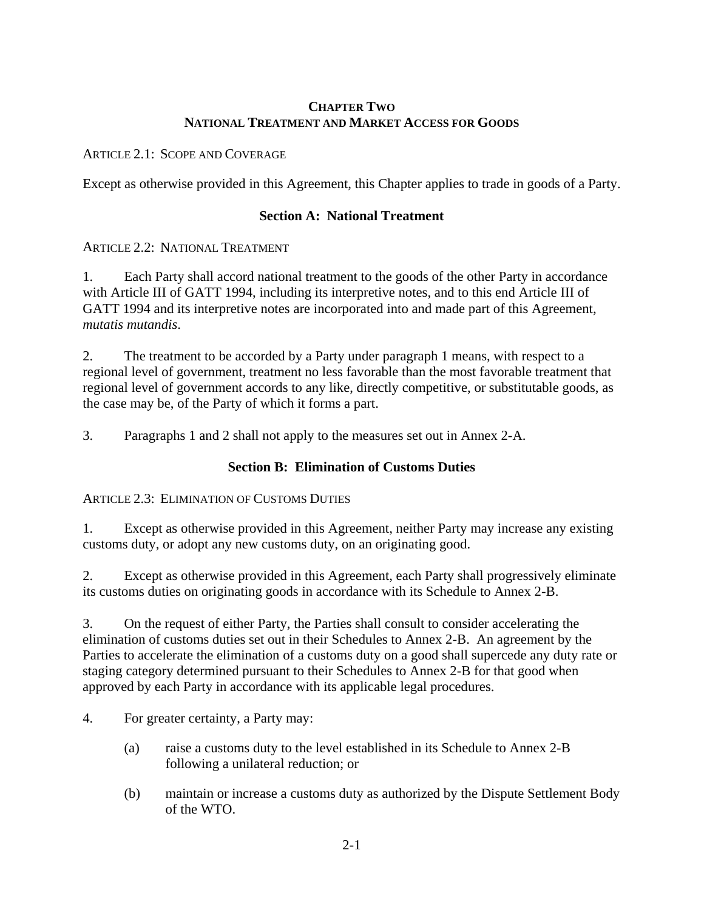# **CHAPTER TWO NATIONAL TREATMENT AND MARKET ACCESS FOR GOODS**

## ARTICLE 2.1: SCOPE AND COVERAGE

Except as otherwise provided in this Agreement, this Chapter applies to trade in goods of a Party.

### **Section A: National Treatment**

### ARTICLE 2.2: NATIONAL TREATMENT

1. Each Party shall accord national treatment to the goods of the other Party in accordance with Article III of GATT 1994, including its interpretive notes, and to this end Article III of GATT 1994 and its interpretive notes are incorporated into and made part of this Agreement, *mutatis mutandis*.

2. The treatment to be accorded by a Party under paragraph 1 means, with respect to a regional level of government, treatment no less favorable than the most favorable treatment that regional level of government accords to any like, directly competitive, or substitutable goods, as the case may be, of the Party of which it forms a part.

3. Paragraphs 1 and 2 shall not apply to the measures set out in Annex 2-A.

# **Section B: Elimination of Customs Duties**

### ARTICLE 2.3: ELIMINATION OF CUSTOMS DUTIES

1. Except as otherwise provided in this Agreement, neither Party may increase any existing customs duty, or adopt any new customs duty, on an originating good.

2. Except as otherwise provided in this Agreement, each Party shall progressively eliminate its customs duties on originating goods in accordance with its Schedule to Annex 2-B.

 3. On the request of either Party, the Parties shall consult to consider accelerating the elimination of customs duties set out in their Schedules to Annex 2-B. An agreement by the Parties to accelerate the elimination of a customs duty on a good shall supercede any duty rate or staging category determined pursuant to their Schedules to Annex 2-B for that good when approved by each Party in accordance with its applicable legal procedures.

4. For greater certainty, a Party may:

- (a) raise a customs duty to the level established in its Schedule to Annex 2-B following a unilateral reduction; or
- (b) maintain or increase a customs duty as authorized by the Dispute Settlement Body of the WTO.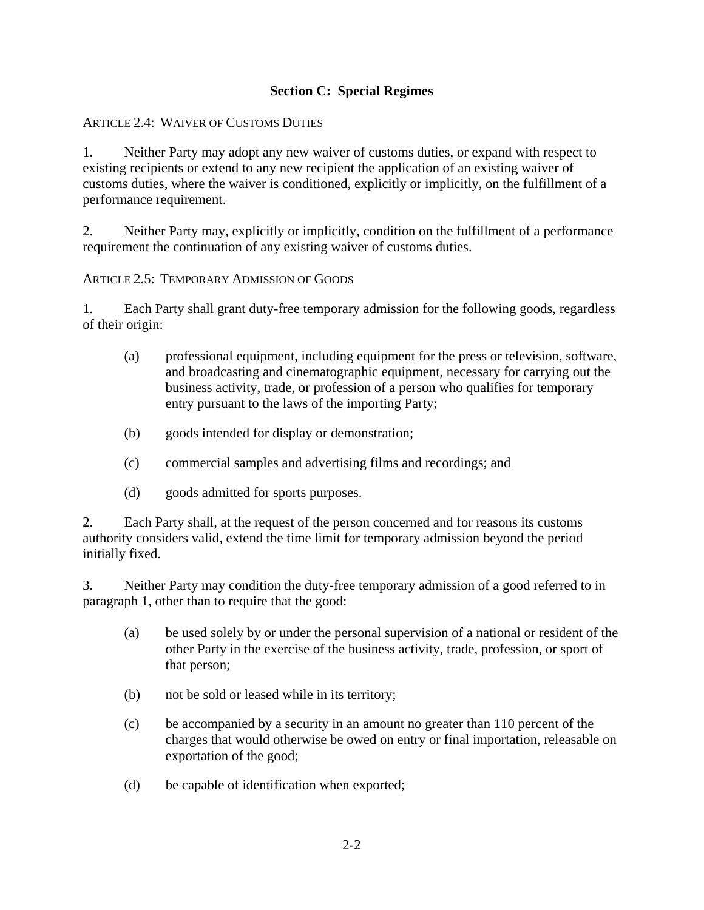# **Section C: Special Regimes**

## ARTICLE 2.4: WAIVER OF CUSTOMS DUTIES

1. Neither Party may adopt any new waiver of customs duties, or expand with respect to existing recipients or extend to any new recipient the application of an existing waiver of customs duties, where the waiver is conditioned, explicitly or implicitly, on the fulfillment of a performance requirement.

2. Neither Party may, explicitly or implicitly, condition on the fulfillment of a performance requirement the continuation of any existing waiver of customs duties.

ARTICLE 2.5: TEMPORARY ADMISSION OF GOODS

1. Each Party shall grant duty-free temporary admission for the following goods, regardless of their origin:

- (a) professional equipment, including equipment for the press or television, software, and broadcasting and cinematographic equipment, necessary for carrying out the business activity, trade, or profession of a person who qualifies for temporary entry pursuant to the laws of the importing Party;
- (b) goods intended for display or demonstration;
- (c) commercial samples and advertising films and recordings; and
- (d) goods admitted for sports purposes.

2. Each Party shall, at the request of the person concerned and for reasons its customs authority considers valid, extend the time limit for temporary admission beyond the period initially fixed.

3. Neither Party may condition the duty-free temporary admission of a good referred to in paragraph 1, other than to require that the good:

- (a) be used solely by or under the personal supervision of a national or resident of the other Party in the exercise of the business activity, trade, profession, or sport of that person;
- (b) not be sold or leased while in its territory;
- (c) be accompanied by a security in an amount no greater than 110 percent of the charges that would otherwise be owed on entry or final importation, releasable on exportation of the good;
- (d) be capable of identification when exported;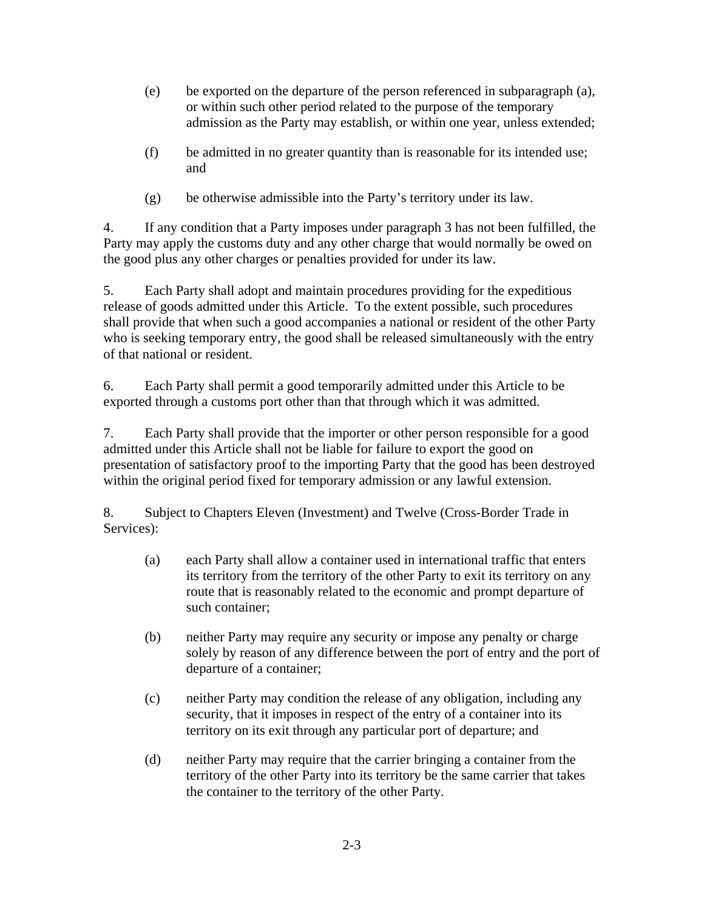- (e) be exported on the departure of the person referenced in subparagraph (a), or within such other period related to the purpose of the temporary admission as the Party may establish, or within one year, unless extended;
- (f) be admitted in no greater quantity than is reasonable for its intended use; and
- (g) be otherwise admissible into the Party's territory under its law.

4. If any condition that a Party imposes under paragraph 3 has not been fulfilled, the Party may apply the customs duty and any other charge that would normally be owed on the good plus any other charges or penalties provided for under its law.

5. Each Party shall adopt and maintain procedures providing for the expeditious release of goods admitted under this Article. To the extent possible, such procedures shall provide that when such a good accompanies a national or resident of the other Party who is seeking temporary entry, the good shall be released simultaneously with the entry of that national or resident.

6. Each Party shall permit a good temporarily admitted under this Article to be exported through a customs port other than that through which it was admitted.

7. Each Party shall provide that the importer or other person responsible for a good admitted under this Article shall not be liable for failure to export the good on presentation of satisfactory proof to the importing Party that the good has been destroyed within the original period fixed for temporary admission or any lawful extension.

8. Subject to Chapters Eleven (Investment) and Twelve (Cross-Border Trade in Services):

- (a) each Party shall allow a container used in international traffic that enters its territory from the territory of the other Party to exit its territory on any route that is reasonably related to the economic and prompt departure of such container;
- (b) neither Party may require any security or impose any penalty or charge solely by reason of any difference between the port of entry and the port of departure of a container;
- (c) neither Party may condition the release of any obligation, including any security, that it imposes in respect of the entry of a container into its territory on its exit through any particular port of departure; and
- (d) neither Party may require that the carrier bringing a container from the territory of the other Party into its territory be the same carrier that takes the container to the territory of the other Party.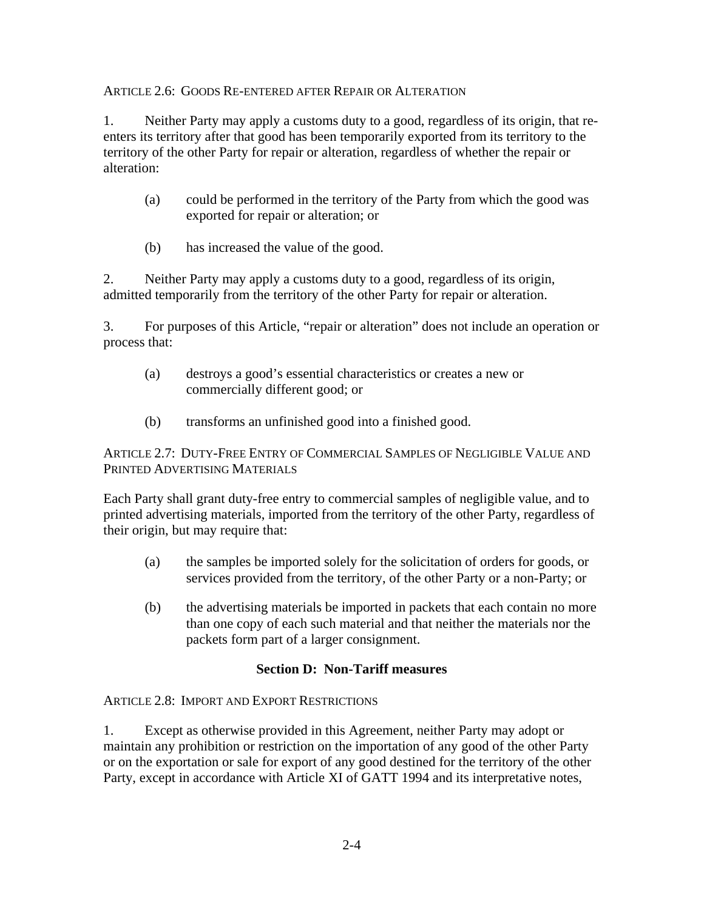## ARTICLE 2.6: GOODS RE-ENTERED AFTER REPAIR OR ALTERATION

1. Neither Party may apply a customs duty to a good, regardless of its origin, that reenters its territory after that good has been temporarily exported from its territory to the territory of the other Party for repair or alteration, regardless of whether the repair or alteration:

- (a) could be performed in the territory of the Party from which the good was exported for repair or alteration; or
- (b) has increased the value of the good.

2. Neither Party may apply a customs duty to a good, regardless of its origin, admitted temporarily from the territory of the other Party for repair or alteration.

3. For purposes of this Article, "repair or alteration" does not include an operation or process that:

- (a) destroys a good's essential characteristics or creates a new or commercially different good; or
- (b) transforms an unfinished good into a finished good.

ARTICLE 2.7: DUTY-FREE ENTRY OF COMMERCIAL SAMPLES OF NEGLIGIBLE VALUE AND PRINTED ADVERTISING MATERIALS

Each Party shall grant duty-free entry to commercial samples of negligible value, and to printed advertising materials, imported from the territory of the other Party, regardless of their origin, but may require that:

- (a) the samples be imported solely for the solicitation of orders for goods, or services provided from the territory, of the other Party or a non-Party; or
- (b) the advertising materials be imported in packets that each contain no more than one copy of each such material and that neither the materials nor the packets form part of a larger consignment.

# **Section D: Non-Tariff measures**

ARTICLE 2.8: IMPORT AND EXPORT RESTRICTIONS

1. Except as otherwise provided in this Agreement, neither Party may adopt or maintain any prohibition or restriction on the importation of any good of the other Party or on the exportation or sale for export of any good destined for the territory of the other Party, except in accordance with Article XI of GATT 1994 and its interpretative notes,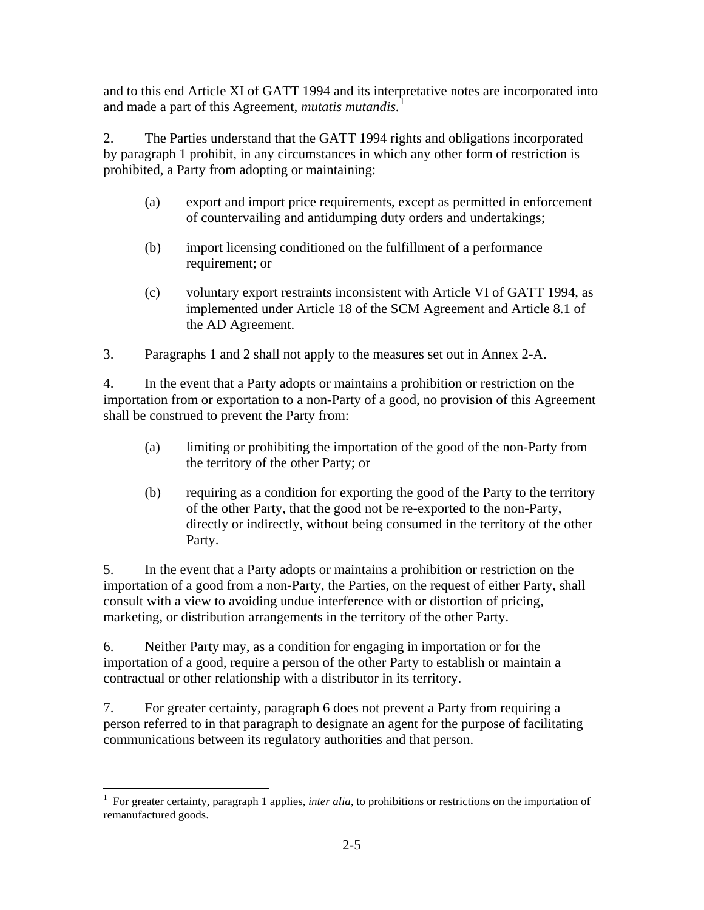and to this end Article XI of GATT 1994 and its interpretative notes are incorporated into and made a part of this Agreement, *mutatis mutandis.*[1](#page-4-0)

2. The Parties understand that the GATT 1994 rights and obligations incorporated by paragraph 1 prohibit, in any circumstances in which any other form of restriction is prohibited, a Party from adopting or maintaining:

- (a) export and import price requirements, except as permitted in enforcement of countervailing and antidumping duty orders and undertakings;
- (b) import licensing conditioned on the fulfillment of a performance requirement; or
- (c) voluntary export restraints inconsistent with Article VI of GATT 1994, as implemented under Article 18 of the SCM Agreement and Article 8.1 of the AD Agreement.
- 3. Paragraphs 1 and 2 shall not apply to the measures set out in Annex 2-A.

4. In the event that a Party adopts or maintains a prohibition or restriction on the importation from or exportation to a non-Party of a good, no provision of this Agreement shall be construed to prevent the Party from:

- (a) limiting or prohibiting the importation of the good of the non-Party from the territory of the other Party; or
- (b) requiring as a condition for exporting the good of the Party to the territory of the other Party, that the good not be re-exported to the non-Party, directly or indirectly, without being consumed in the territory of the other Party.

5. In the event that a Party adopts or maintains a prohibition or restriction on the importation of a good from a non-Party, the Parties, on the request of either Party, shall consult with a view to avoiding undue interference with or distortion of pricing, marketing, or distribution arrangements in the territory of the other Party.

6. Neither Party may, as a condition for engaging in importation or for the importation of a good, require a person of the other Party to establish or maintain a contractual or other relationship with a distributor in its territory.

7. For greater certainty, paragraph 6 does not prevent a Party from requiring a person referred to in that paragraph to designate an agent for the purpose of facilitating communications between its regulatory authorities and that person.

<span id="page-4-0"></span> $\overline{a}$ 1 For greater certainty, paragraph 1 applies, *inter alia,* to prohibitions or restrictions on the importation of remanufactured goods.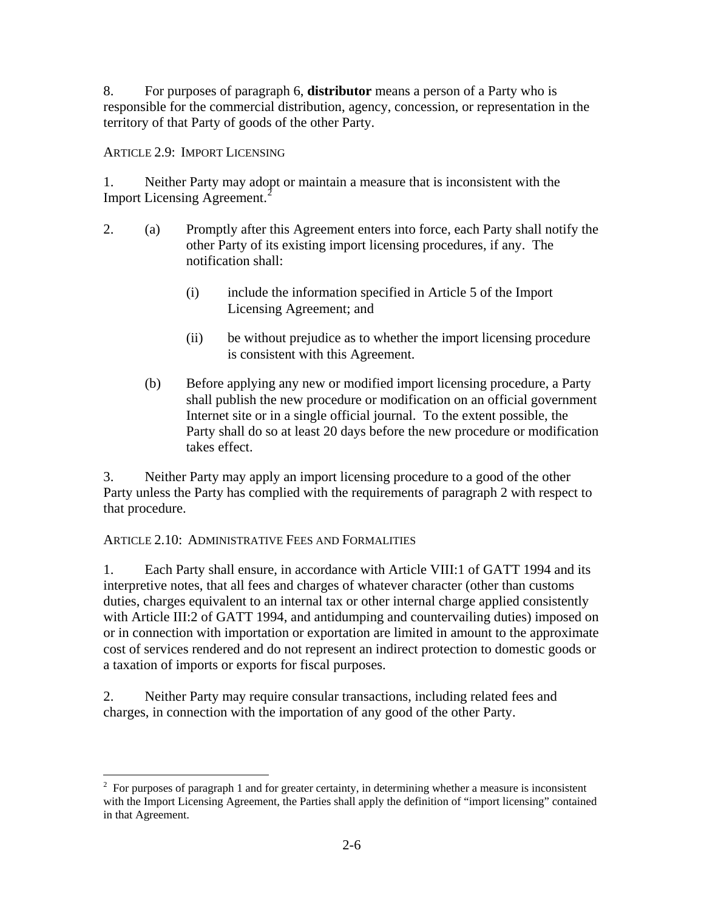8. For purposes of paragraph 6, **distributor** means a person of a Party who is responsible for the commercial distribution, agency, concession, or representation in the territory of that Party of goods of the other Party.

ARTICLE 2.9: IMPORT LICENSING

1. Neither Party may adopt or maintain a measure that is inconsistent with the Import Licensing Agreement.<sup>[2](#page-5-0)</sup>

- 2. (a) Promptly after this Agreement enters into force, each Party shall notify the other Party of its existing import licensing procedures, if any. The notification shall:
	- (i) include the information specified in Article 5 of the Import Licensing Agreement; and
	- (ii) be without prejudice as to whether the import licensing procedure is consistent with this Agreement.
	- (b) Before applying any new or modified import licensing procedure, a Party shall publish the new procedure or modification on an official government Internet site or in a single official journal. To the extent possible, the Party shall do so at least 20 days before the new procedure or modification takes effect.

3. Neither Party may apply an import licensing procedure to a good of the other Party unless the Party has complied with the requirements of paragraph 2 with respect to that procedure.

ARTICLE 2.10: ADMINISTRATIVE FEES AND FORMALITIES

1. Each Party shall ensure, in accordance with Article VIII:1 of GATT 1994 and its interpretive notes, that all fees and charges of whatever character (other than customs duties, charges equivalent to an internal tax or other internal charge applied consistently with Article III:2 of GATT 1994, and antidumping and countervailing duties) imposed on or in connection with importation or exportation are limited in amount to the approximate cost of services rendered and do not represent an indirect protection to domestic goods or a taxation of imports or exports for fiscal purposes.

2. Neither Party may require consular transactions, including related fees and charges, in connection with the importation of any good of the other Party.

<span id="page-5-0"></span> $\overline{a}$  $2^2$  For purposes of paragraph 1 and for greater certainty, in determining whether a measure is inconsistent with the Import Licensing Agreement, the Parties shall apply the definition of "import licensing" contained in that Agreement.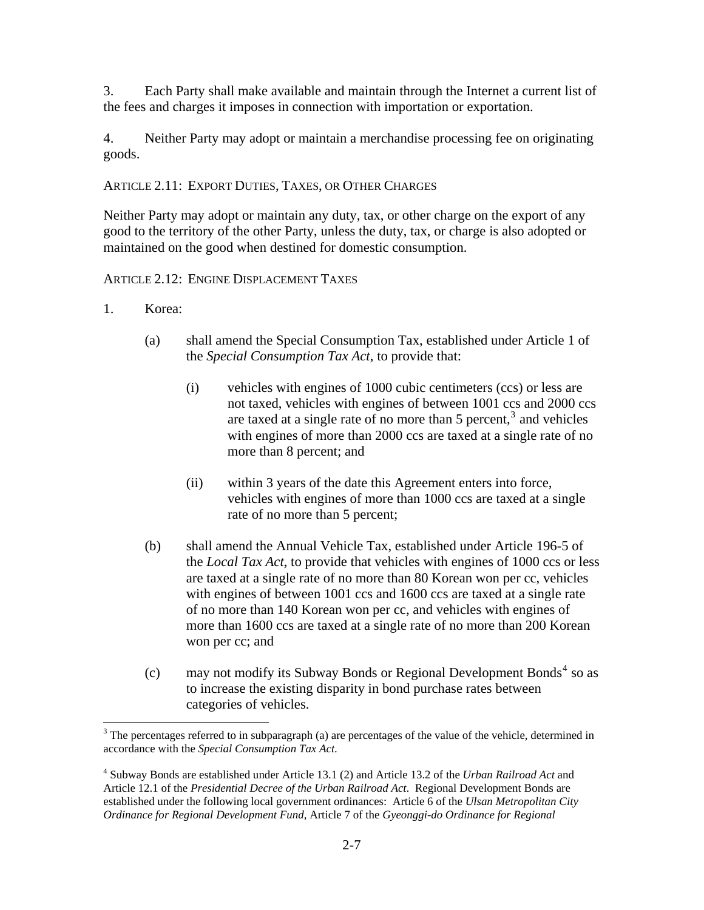3. Each Party shall make available and maintain through the Internet a current list of the fees and charges it imposes in connection with importation or exportation.

4. Neither Party may adopt or maintain a merchandise processing fee on originating goods.

ARTICLE 2.11: EXPORT DUTIES, TAXES, OR OTHER CHARGES

Neither Party may adopt or maintain any duty, tax, or other charge on the export of any good to the territory of the other Party, unless the duty, tax, or charge is also adopted or maintained on the good when destined for domestic consumption.

ARTICLE 2.12: ENGINE DISPLACEMENT TAXES

1. Korea:

 $\overline{a}$ 

- (a) shall amend the Special Consumption Tax, established under Article 1 of the *Special Consumption Tax Act*, to provide that:
	- (i) vehicles with engines of 1000 cubic centimeters (ccs) or less are not taxed, vehicles with engines of between 1001 ccs and 2000 ccs are taxed at a single rate of no more than 5 percent, $3$  and vehicles with engines of more than 2000 ccs are taxed at a single rate of no more than 8 percent; and
	- (ii) within 3 years of the date this Agreement enters into force, vehicles with engines of more than 1000 ccs are taxed at a single rate of no more than 5 percent;
- (b) shall amend the Annual Vehicle Tax, established under Article 196-5 of the *Local Tax Act*, to provide that vehicles with engines of 1000 ccs or less are taxed at a single rate of no more than 80 Korean won per cc, vehicles with engines of between 1001 ccs and 1600 ccs are taxed at a single rate of no more than 140 Korean won per cc, and vehicles with engines of more than 1600 ccs are taxed at a single rate of no more than 200 Korean won per cc; and
- (c) may not modify its Subway Bonds or Regional Development Bonds<sup>[4](#page-6-1)</sup> so as to increase the existing disparity in bond purchase rates between categories of vehicles.

<span id="page-6-0"></span> $3$  The percentages referred to in subparagraph (a) are percentages of the value of the vehicle, determined in accordance with the *Special Consumption Tax Act*.

<span id="page-6-1"></span><sup>4</sup> Subway Bonds are established under Article 13.1 (2) and Article 13.2 of the *Urban Railroad Act* and Article 12.1 of the *Presidential Decree of the Urban Railroad Act*. Regional Development Bonds are established under the following local government ordinances: Article 6 of the *Ulsan Metropolitan City Ordinance for Regional Development Fund*, Article 7 of the *Gyeonggi-do Ordinance for Regional*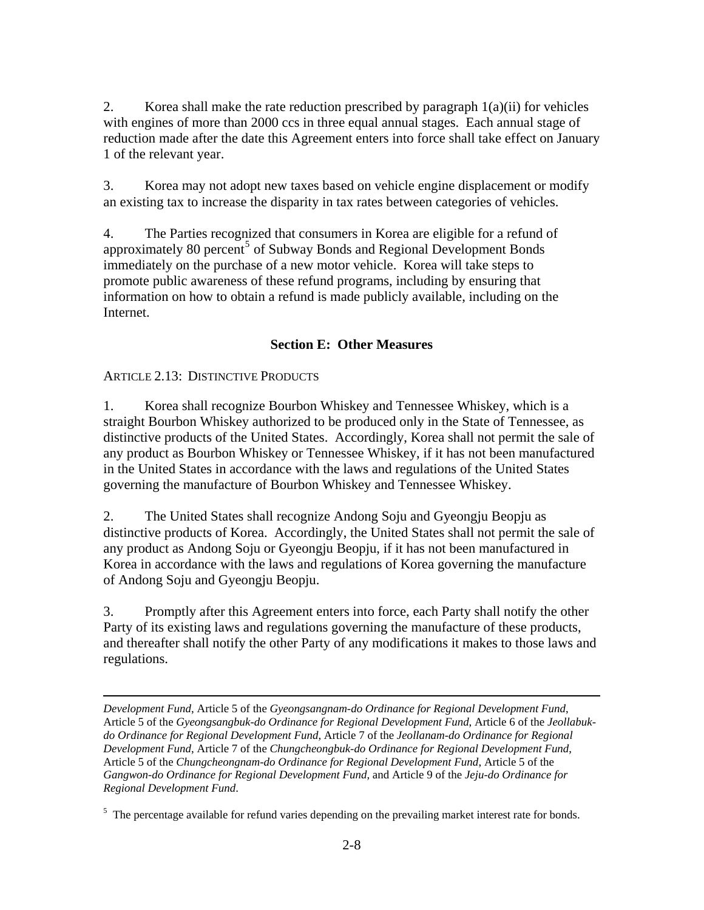2. Korea shall make the rate reduction prescribed by paragraph 1(a)(ii) for vehicles with engines of more than 2000 ccs in three equal annual stages. Each annual stage of reduction made after the date this Agreement enters into force shall take effect on January 1 of the relevant year.

3. Korea may not adopt new taxes based on vehicle engine displacement or modify an existing tax to increase the disparity in tax rates between categories of vehicles.

4. The Parties recognized that consumers in Korea are eligible for a refund of approximately 80 percent<sup>[5](#page-7-0)</sup> of Subway Bonds and Regional Development Bonds immediately on the purchase of a new motor vehicle. Korea will take steps to promote public awareness of these refund programs, including by ensuring that information on how to obtain a refund is made publicly available, including on the Internet.

# **Section E: Other Measures**

# ARTICLE 2.13: DISTINCTIVE PRODUCTS

 $\overline{a}$ 

1. Korea shall recognize Bourbon Whiskey and Tennessee Whiskey, which is a straight Bourbon Whiskey authorized to be produced only in the State of Tennessee, as distinctive products of the United States. Accordingly, Korea shall not permit the sale of any product as Bourbon Whiskey or Tennessee Whiskey, if it has not been manufactured in the United States in accordance with the laws and regulations of the United States governing the manufacture of Bourbon Whiskey and Tennessee Whiskey.

2. The United States shall recognize Andong Soju and Gyeongju Beopju as distinctive products of Korea. Accordingly, the United States shall not permit the sale of any product as Andong Soju or Gyeongju Beopju, if it has not been manufactured in Korea in accordance with the laws and regulations of Korea governing the manufacture of Andong Soju and Gyeongju Beopju.

3. Promptly after this Agreement enters into force, each Party shall notify the other Party of its existing laws and regulations governing the manufacture of these products, and thereafter shall notify the other Party of any modifications it makes to those laws and regulations.

*Development Fund*, Article 5 of the *Gyeongsangnam-do Ordinance for Regional Development Fund*, Article 5 of the *Gyeongsangbuk-do Ordinance for Regional Development Fund*, Article 6 of the *Jeollabukdo Ordinance for Regional Development Fund*, Article 7 of the *Jeollanam-do Ordinance for Regional Development Fund*, Article 7 of the *Chungcheongbuk-do Ordinance for Regional Development Fund*, Article 5 of the *Chungcheongnam-do Ordinance for Regional Development Fund*, Article 5 of the *Gangwon-do Ordinance for Regional Development Fund*, and Article 9 of the *Jeju-do Ordinance for Regional Development Fund*.

<span id="page-7-0"></span> $5$  The percentage available for refund varies depending on the prevailing market interest rate for bonds.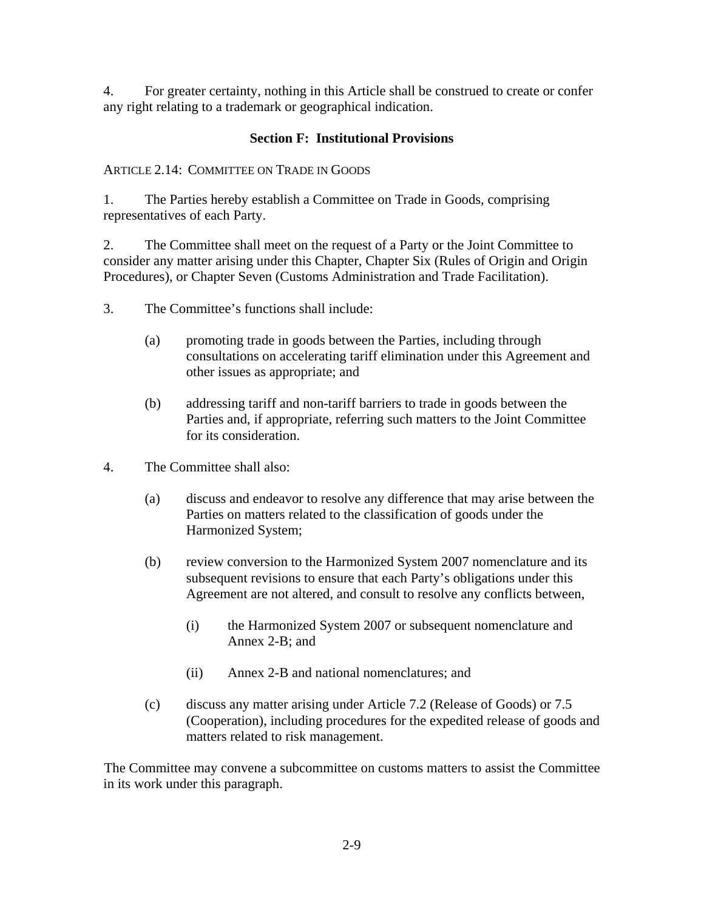4. For greater certainty, nothing in this Article shall be construed to create or confer any right relating to a trademark or geographical indication.

# **Section F: Institutional Provisions**

# ARTICLE 2.14: COMMITTEE ON TRADE IN GOODS

1. The Parties hereby establish a Committee on Trade in Goods, comprising representatives of each Party.

2. The Committee shall meet on the request of a Party or the Joint Committee to consider any matter arising under this Chapter, Chapter Six (Rules of Origin and Origin Procedures), or Chapter Seven (Customs Administration and Trade Facilitation).

- 3. The Committee's functions shall include:
	- (a) promoting trade in goods between the Parties, including through consultations on accelerating tariff elimination under this Agreement and other issues as appropriate; and
	- (b) addressing tariff and non-tariff barriers to trade in goods between the Parties and, if appropriate, referring such matters to the Joint Committee for its consideration.
- 4. The Committee shall also:
	- (a) discuss and endeavor to resolve any difference that may arise between the Parties on matters related to the classification of goods under the Harmonized System;
	- (b) review conversion to the Harmonized System 2007 nomenclature and its subsequent revisions to ensure that each Party's obligations under this Agreement are not altered, and consult to resolve any conflicts between,
		- (i) the Harmonized System 2007 or subsequent nomenclature and Annex 2-B; and
		- (ii) Annex 2-B and national nomenclatures; and
	- (c) discuss any matter arising under Article 7.2 (Release of Goods) or 7.5 (Cooperation), including procedures for the expedited release of goods and matters related to risk management.

The Committee may convene a subcommittee on customs matters to assist the Committee in its work under this paragraph.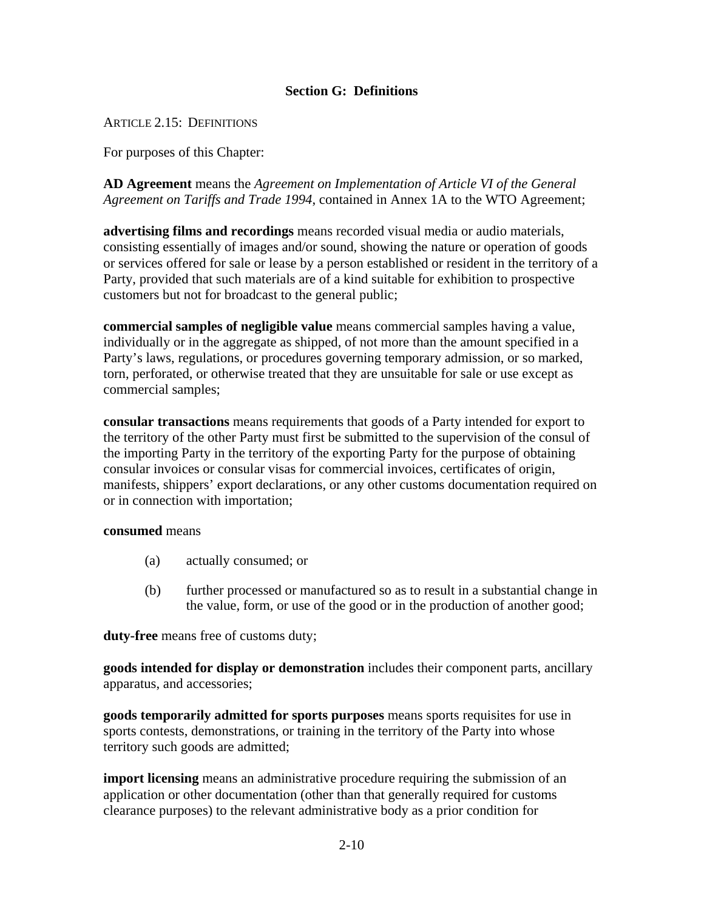# **Section G: Definitions**

ARTICLE 2.15: DEFINITIONS

For purposes of this Chapter:

**AD Agreement** means the *Agreement on Implementation of Article VI of the General Agreement on Tariffs and Trade 1994*, contained in Annex 1A to the WTO Agreement;

**advertising films and recordings** means recorded visual media or audio materials, consisting essentially of images and/or sound, showing the nature or operation of goods or services offered for sale or lease by a person established or resident in the territory of a Party, provided that such materials are of a kind suitable for exhibition to prospective customers but not for broadcast to the general public;

**commercial samples of negligible value** means commercial samples having a value, individually or in the aggregate as shipped, of not more than the amount specified in a Party's laws, regulations, or procedures governing temporary admission, or so marked, torn, perforated, or otherwise treated that they are unsuitable for sale or use except as commercial samples;

**consular transactions** means requirements that goods of a Party intended for export to the territory of the other Party must first be submitted to the supervision of the consul of the importing Party in the territory of the exporting Party for the purpose of obtaining consular invoices or consular visas for commercial invoices, certificates of origin, manifests, shippers' export declarations, or any other customs documentation required on or in connection with importation;

### **consumed** means

- (a) actually consumed; or
- (b) further processed or manufactured so as to result in a substantial change in the value, form, or use of the good or in the production of another good;

**duty-free** means free of customs duty;

**goods intended for display or demonstration** includes their component parts, ancillary apparatus, and accessories;

**goods temporarily admitted for sports purposes** means sports requisites for use in sports contests, demonstrations, or training in the territory of the Party into whose territory such goods are admitted;

**import licensing** means an administrative procedure requiring the submission of an application or other documentation (other than that generally required for customs clearance purposes) to the relevant administrative body as a prior condition for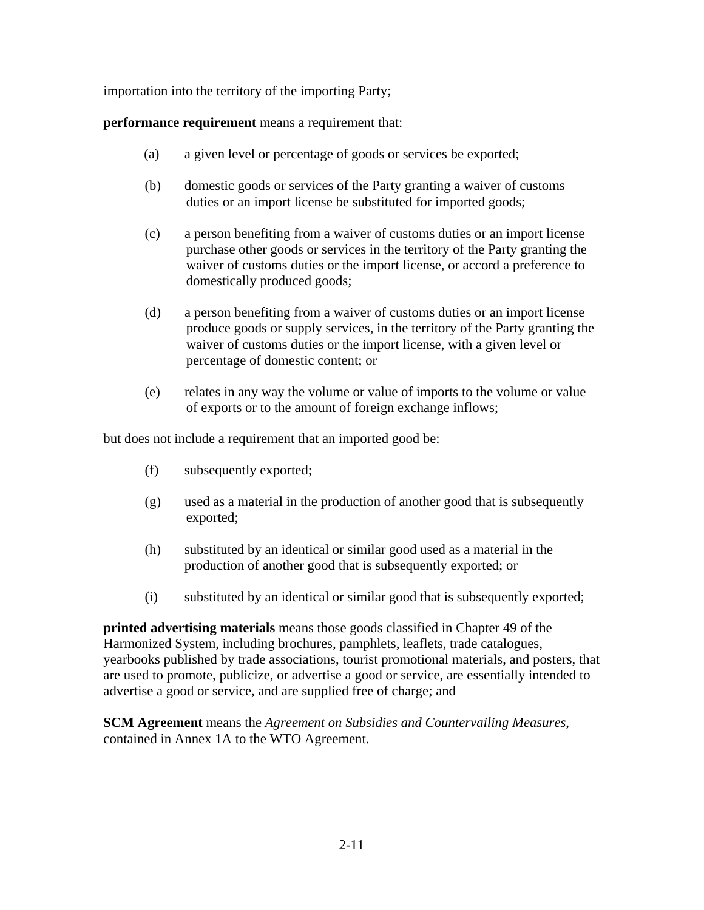importation into the territory of the importing Party;

**performance requirement** means a requirement that:

- (a) a given level or percentage of goods or services be exported;
- (b) domestic goods or services of the Party granting a waiver of customs duties or an import license be substituted for imported goods;
- (c) a person benefiting from a waiver of customs duties or an import license purchase other goods or services in the territory of the Party granting the waiver of customs duties or the import license, or accord a preference to domestically produced goods;
- (d) a person benefiting from a waiver of customs duties or an import license produce goods or supply services, in the territory of the Party granting the waiver of customs duties or the import license, with a given level or percentage of domestic content; or
- (e) relates in any way the volume or value of imports to the volume or value of exports or to the amount of foreign exchange inflows;

but does not include a requirement that an imported good be:

- (f) subsequently exported;
- (g) used as a material in the production of another good that is subsequently exported;
- (h) substituted by an identical or similar good used as a material in the production of another good that is subsequently exported; or
- (i) substituted by an identical or similar good that is subsequently exported;

**printed advertising materials** means those goods classified in Chapter 49 of the Harmonized System, including brochures, pamphlets, leaflets, trade catalogues, yearbooks published by trade associations, tourist promotional materials, and posters, that are used to promote, publicize, or advertise a good or service, are essentially intended to advertise a good or service, and are supplied free of charge; and

**SCM Agreement** means the *Agreement on Subsidies and Countervailing Measures*, contained in Annex 1A to the WTO Agreement.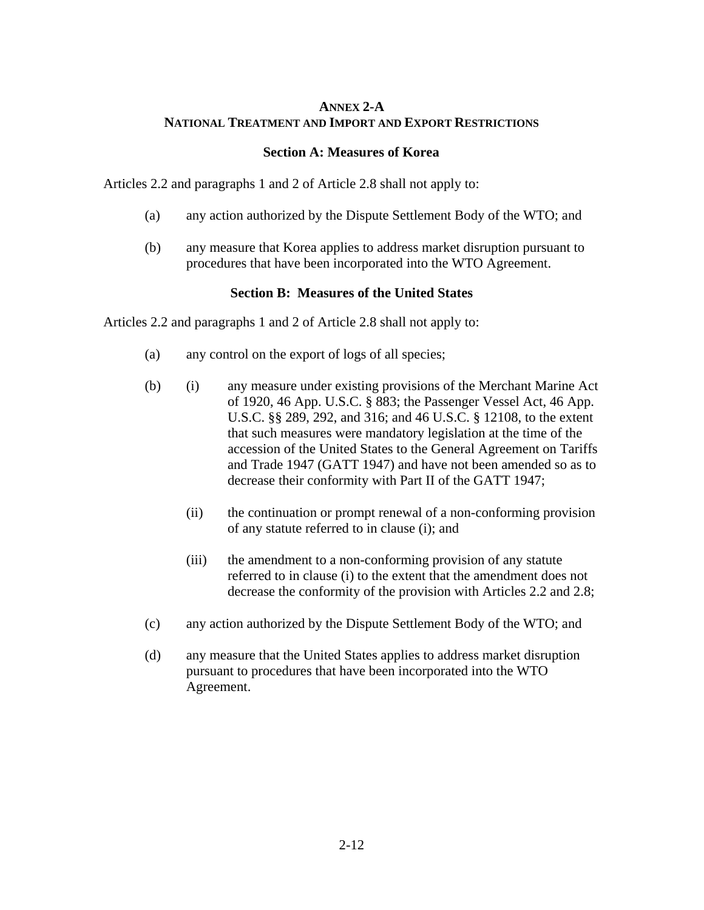# **ANNEX 2-A NATIONAL TREATMENT AND IMPORT AND EXPORT RESTRICTIONS**

### **Section A: Measures of Korea**

Articles 2.2 and paragraphs 1 and 2 of Article 2.8 shall not apply to:

- (a) any action authorized by the Dispute Settlement Body of the WTO; and
- (b) any measure that Korea applies to address market disruption pursuant to procedures that have been incorporated into the WTO Agreement.

#### **Section B: Measures of the United States**

Articles 2.2 and paragraphs 1 and 2 of Article 2.8 shall not apply to:

- (a) any control on the export of logs of all species;
- (b) (i) any measure under existing provisions of the Merchant Marine Act of 1920, 46 App. U.S.C. § 883; the Passenger Vessel Act, 46 App. U.S.C. §§ 289, 292, and 316; and 46 U.S.C. § 12108, to the extent that such measures were mandatory legislation at the time of the accession of the United States to the General Agreement on Tariffs and Trade 1947 (GATT 1947) and have not been amended so as to decrease their conformity with Part II of the GATT 1947;
	- (ii) the continuation or prompt renewal of a non-conforming provision of any statute referred to in clause (i); and
	- (iii) the amendment to a non-conforming provision of any statute referred to in clause (i) to the extent that the amendment does not decrease the conformity of the provision with Articles 2.2 and 2.8;
- (c) any action authorized by the Dispute Settlement Body of the WTO; and
- (d) any measure that the United States applies to address market disruption pursuant to procedures that have been incorporated into the WTO Agreement.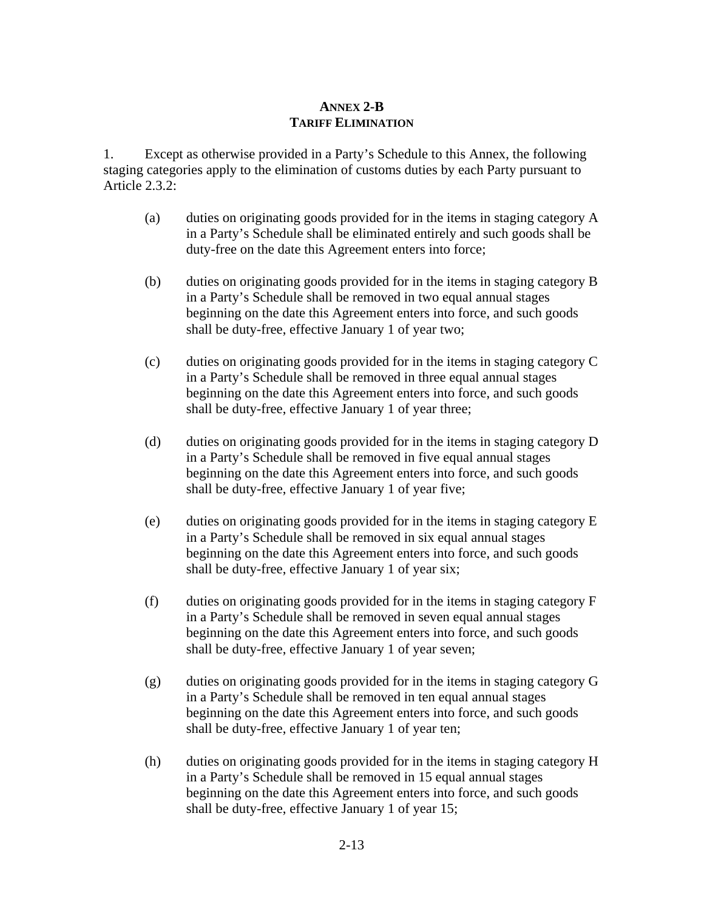# **ANNEX 2-B TARIFF ELIMINATION**

1. Except as otherwise provided in a Party's Schedule to this Annex, the following staging categories apply to the elimination of customs duties by each Party pursuant to Article 2.3.2:

- (a) duties on originating goods provided for in the items in staging category A in a Party's Schedule shall be eliminated entirely and such goods shall be duty-free on the date this Agreement enters into force;
- (b) duties on originating goods provided for in the items in staging category B in a Party's Schedule shall be removed in two equal annual stages beginning on the date this Agreement enters into force, and such goods shall be duty-free, effective January 1 of year two;
- (c) duties on originating goods provided for in the items in staging category C in a Party's Schedule shall be removed in three equal annual stages beginning on the date this Agreement enters into force, and such goods shall be duty-free, effective January 1 of year three;
- (d) duties on originating goods provided for in the items in staging category D in a Party's Schedule shall be removed in five equal annual stages beginning on the date this Agreement enters into force, and such goods shall be duty-free, effective January 1 of year five;
- (e) duties on originating goods provided for in the items in staging category E in a Party's Schedule shall be removed in six equal annual stages beginning on the date this Agreement enters into force, and such goods shall be duty-free, effective January 1 of year six;
- (f) duties on originating goods provided for in the items in staging category F in a Party's Schedule shall be removed in seven equal annual stages beginning on the date this Agreement enters into force, and such goods shall be duty-free, effective January 1 of year seven;
- (g) duties on originating goods provided for in the items in staging category G in a Party's Schedule shall be removed in ten equal annual stages beginning on the date this Agreement enters into force, and such goods shall be duty-free, effective January 1 of year ten;
- (h) duties on originating goods provided for in the items in staging category H in a Party's Schedule shall be removed in 15 equal annual stages beginning on the date this Agreement enters into force, and such goods shall be duty-free, effective January 1 of year 15;